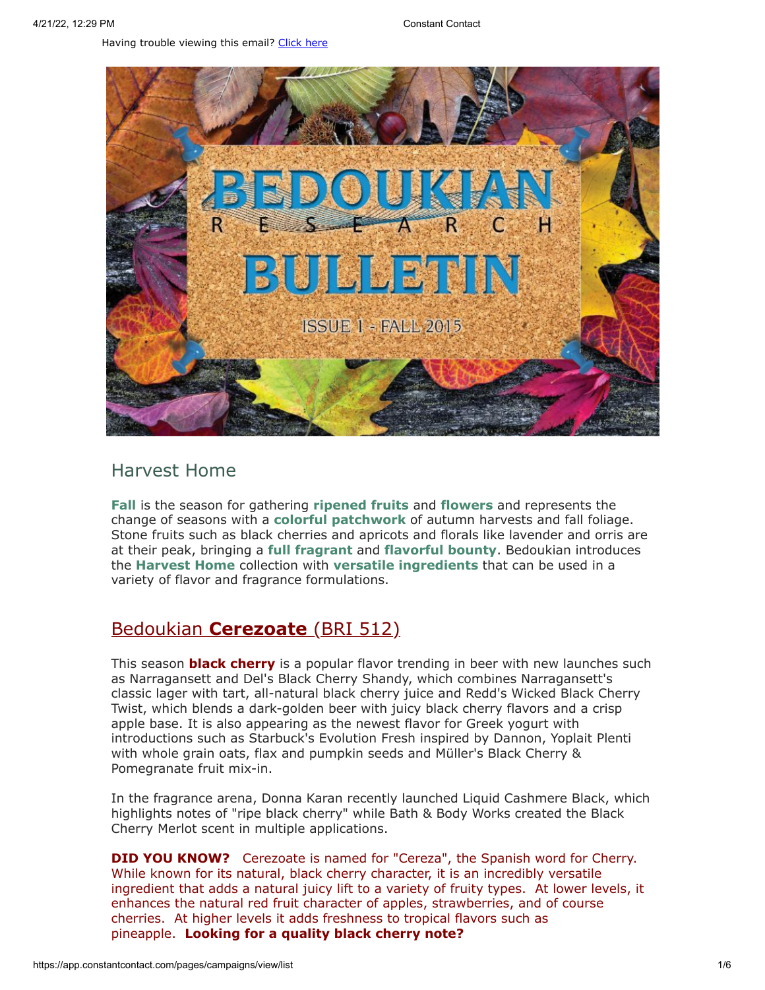Having trouble viewing this email? [Click](http://campaign.r20.constantcontact.com/render?preview=true&m=1119604276206&ca=6d43b8b5-4c38-442a-922e-eb9488e22414&id=preview) here



### Harvest Home

**Fall** is the season for gathering **ripened fruits** and **flowers** and represents the change of seasons with a **colorful patchwork** of autumn harvests and fall foliage. Stone fruits such as black cherries and apricots and florals like lavender and orris are at their peak, bringing a **full fragrant** and **flavorful bounty**. Bedoukian introduces the **Harvest Home** collection with **versatile ingredients** that can be used in a variety of flavor and fragrance formulations.

### Bedoukian **[Cerezoate](http://bedoukian.com/products/product.asp?id=512)** (BRI 512)

This season **black cherry** is a popular flavor trending in beer with new launches such as Narragansett and Del's Black Cherry Shandy, which combines Narragansett's classic lager with tart, all-natural black cherry juice and Redd's Wicked Black Cherry Twist, which blends a dark-golden beer with juicy black cherry flavors and a crisp apple base. It is also appearing as the newest flavor for Greek yogurt with introductions such as Starbuck's Evolution Fresh inspired by Dannon, Yoplait Plenti with whole grain oats, flax and pumpkin seeds and Müller's Black Cherry & Pomegranate fruit mix-in.

In the fragrance arena, Donna Karan recently launched Liquid Cashmere Black, which highlights notes of "ripe black cherry" while Bath & Body Works created the Black Cherry Merlot scent in multiple applications.

**DID YOU KNOW?** Cerezoate is named for "Cereza", the Spanish word for Cherry. While known for its natural, black cherry character, it is an incredibly versatile ingredient that adds a natural juicy lift to a variety of fruity types. At lower levels, it enhances the natural red fruit character of apples, strawberries, and of course cherries. At higher levels it adds freshness to tropical flavors such as pineapple. **Looking for a quality black cherry note?**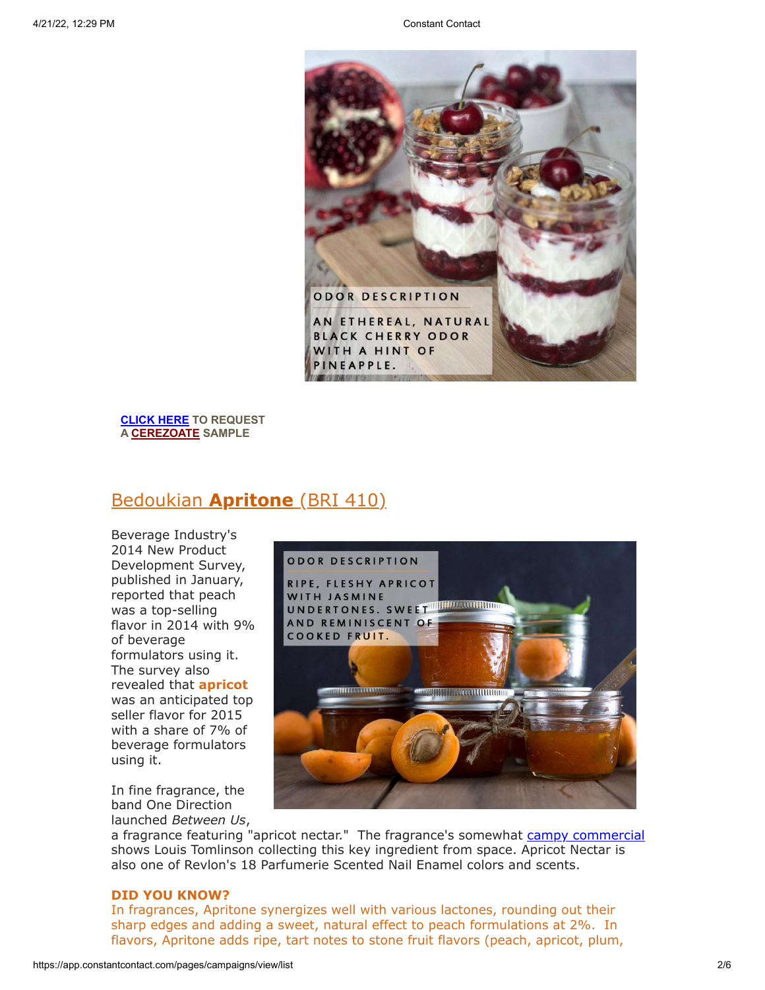

**[CLICK HERE](mailto:customerservice@bedoukian.com?subject=Fall%202015%20Sample%20Request&body=Hello!%20I%20would%20like%20to%20request%20free%20samples%20of%20each%20product%20advertised%20in%20the%20Fall%202015%20Bedoukian%20Bulletin!) TO REQUEST A [CEREZOATE](http://bedoukian.com/products/product.asp?id=512) SAMPLE**

# [Bedouki](http://bedoukian.com/products/product.asp?id=410)an **[Apritone](http://bedoukian.com/products/product.asp?id=410)** (BRI 410)

Beverage Industry's 2014 New Product Development Survey, published in January, reported that peach was a top-selling flavor in 2014 with 9% of beverage formulators using it. The survey also revealed that **apricot** was an anticipated top seller flavor for 2015 with a share of 7% of beverage formulators using it.

In fine fragrance, the band One Direction launched *Between Us*,



a fragrance featuring "apricot nectar." The fragrance's somewhat campy [commercial](https://www.youtube.com/watch?v=OT6TYElceUs) shows Louis Tomlinson collecting this key ingredient from space. Apricot Nectar is also one of Revlon's 18 Parfumerie Scented Nail Enamel colors and scents.

#### **DID YOU KNOW?**

In fragrances, Apritone synergizes well with various lactones, rounding out their sharp edges and adding a sweet, natural effect to peach formulations at 2%. In flavors, Apritone adds ripe, tart notes to stone fruit flavors (peach, apricot, plum,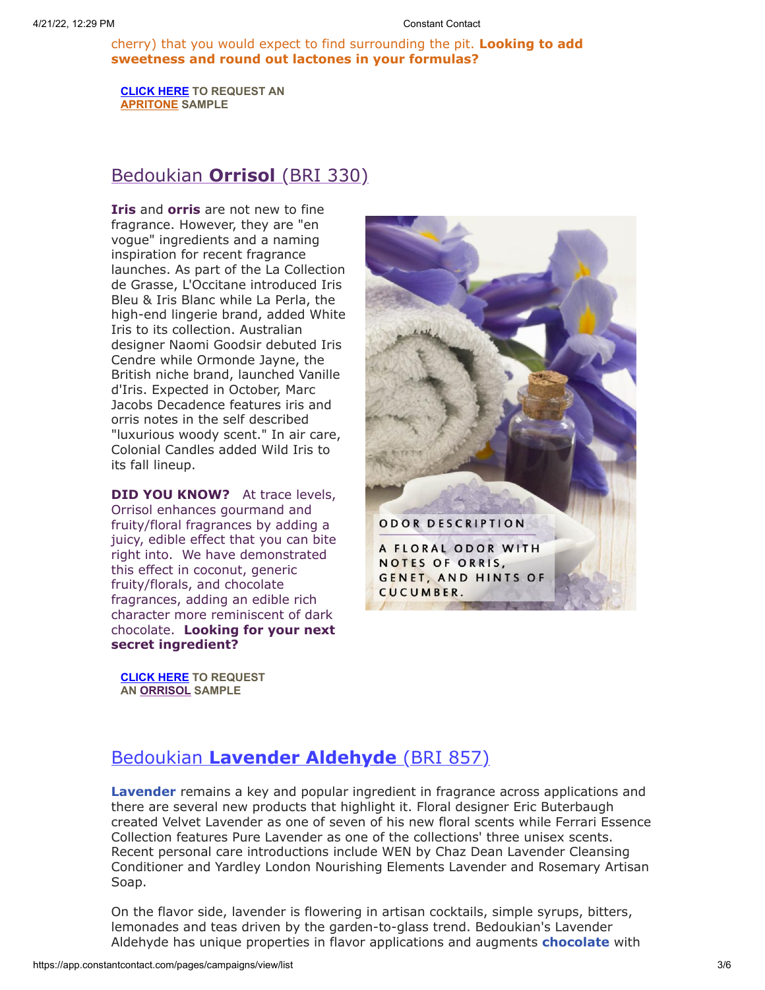cherry) that you would expect to find surrounding the pit. **Looking to add sweetness and round out lactones in your formulas?**

**[CLICK HERE](mailto:customerservice@bedoukian.com?subject=Fall%202015%20Sample%20Request&body=Hello!%20I%20would%20like%20to%20request%20free%20samples%20of%20each%20product%20advertised%20in%20the%20Fall%202015%20Bedoukian%20Bulletin.) TO REQUEST AN [APRITONE](http://bedoukian.com/products/product.asp?id=410) SAMPLE**

# [Bedoukian](http://bedoukian.com/products/product.asp?id=330) **Orrisol** (BRI 330)

**Iris** and **orris** are not new to fine fragrance. However, they are "en vogue" ingredients and a naming inspiration for recent fragrance launches. As part of the La Collection de Grasse, L'Occitane introduced Iris Bleu & Iris Blanc while La Perla, the high-end lingerie brand, added White Iris to its collection. Australian designer Naomi Goodsir debuted Iris Cendre while Ormonde Jayne, the British niche brand, launched Vanille d'Iris. Expected in October, Marc Jacobs Decadence features iris and orris notes in the self described "luxurious woody scent." In air care, Colonial Candles added Wild Iris to its fall lineup.

**DID YOU KNOW?** At trace levels, Orrisol enhances gourmand and fruity/floral fragrances by adding a juicy, edible effect that you can bite right into. We have demonstrated this effect in coconut, generic fruity/florals, and chocolate fragrances, adding an edible rich character more reminiscent of dark chocolate. **Looking for your next secret ingredient?**

**[CLICK HERE](mailto:customerservice@bedoukian.com?subject=Fall%202015%20Sample%20Request&body=Hello!%20I%20would%20like%20to%20request%20free%20samples%20of%20each%20product%20advertised%20in%20the%20Fall%202015%20Bedoukian%20Bulletin!) TO REQUEST AN [ORRISOL](http://bedoukian.com/products/product.asp?id=330) SAMPLE**



# Bedoukian **[Lavender Aldehyde](http://bedoukian.com/products/product.asp?id=857)** (BRI 857)

**Lavender** remains a key and popular ingredient in fragrance across applications and there are several new products that highlight it. Floral designer Eric Buterbaugh created Velvet Lavender as one of seven of his new floral scents while Ferrari Essence Collection features Pure Lavender as one of the collections' three unisex scents. Recent personal care introductions include WEN by Chaz Dean Lavender Cleansing Conditioner and Yardley London Nourishing Elements Lavender and Rosemary Artisan Soap.

On the flavor side, lavender is flowering in artisan cocktails, simple syrups, bitters, lemonades and teas driven by the garden-to-glass trend. Bedoukian's Lavender Aldehyde has unique properties in flavor applications and augments **chocolate** with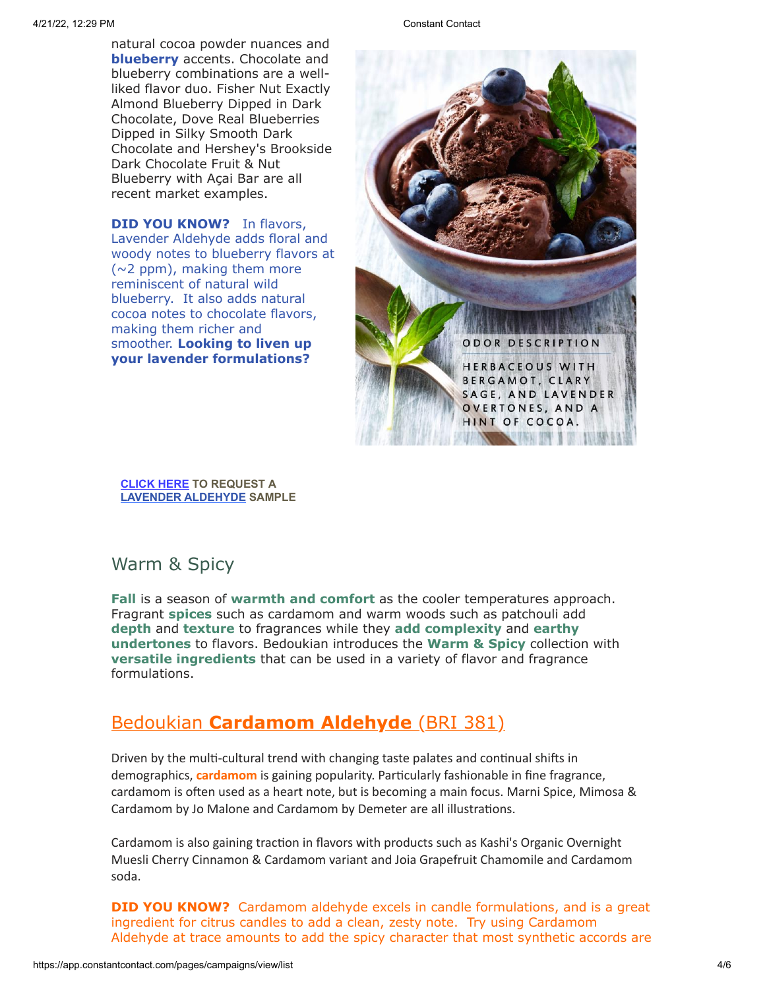natural cocoa powder nuances and **blueberry** accents. Chocolate and blueberry combinations are a wellliked flavor duo. Fisher Nut Exactly Almond Blueberry Dipped in Dark Chocolate, Dove Real Blueberries Dipped in Silky Smooth Dark Chocolate and Hershey's Brookside Dark Chocolate Fruit & Nut Blueberry with Açai Bar are all recent market examples.

**DID YOU KNOW?** In flavors, Lavender Aldehyde adds floral and woody notes to blueberry flavors at (~2 ppm), making them more reminiscent of natural wild blueberry. It also adds natural cocoa notes to chocolate flavors, making them richer and smoother. **Looking to liven up your lavender formulations?**



**[CLICK HERE](mailto:customerservice@bedoukian.com?subject=Fall%202015%20Sample%20Request&body=Hello!%20I%20would%20like%20to%20request%20free%20samples%20of%20each%20product%20advertised%20in%20the%20Fall%202015%20Bedoukian%20Bulletin!) TO REQUEST A LAVENDER [ALDEHYDE](http://bedoukian.com/products/product.asp?id=857) SAMPLE**

#### Warm & Spicy

**Fall** is a season of **warmth and comfort** as the cooler temperatures approach. Fragrant **spices** such as cardamom and warm woods such as patchouli add **depth** and **texture** to fragrances while they **add complexity** and **earthy undertones** to flavors. Bedoukian introduces the **Warm & Spicy** collection with **versatile ingredients** that can be used in a variety of flavor and fragrance formulations.

## Bedoukian **[Cardamom Aldehyde](http://bedoukian.com/products/product.asp?id=381)** (BRI 381)

Driven by the multi-cultural trend with changing taste palates and continual shifts in demographics, **cardamom** is gaining popularity. Particularly fashionable in fine fragrance, cardamom is often used as a heart note, but is becoming a main focus. Marni Spice, Mimosa & Cardamom by Jo Malone and Cardamom by Demeter are all illustrations.

Cardamom is also gaining traction in flavors with products such as Kashi's Organic Overnight Muesli Cherry Cinnamon & Cardamom variant and Joia Grapefruit Chamomile and Cardamom soda.

**DID YOU KNOW?** Cardamom aldehyde excels in candle formulations, and is a great ingredient for citrus candles to add a clean, zesty note. Try using Cardamom Aldehyde at trace amounts to add the spicy character that most synthetic accords are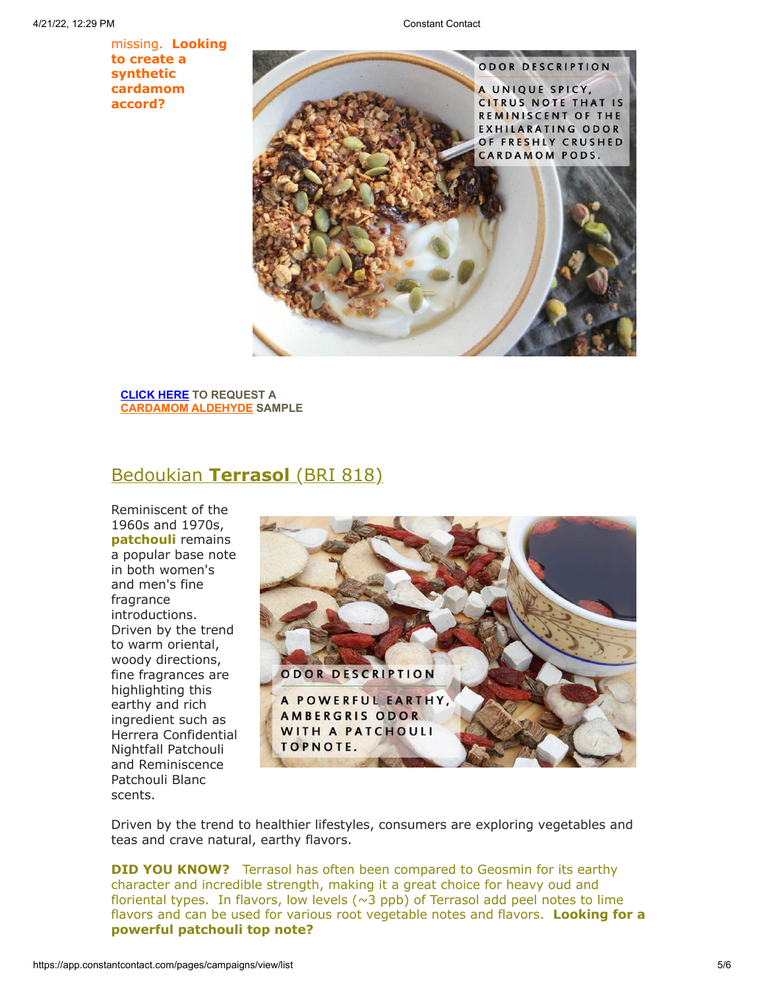missing. **Looking to create a synthetic cardamom accord?**



**[CLICK HERE](mailto:customerservice@bedoukian.com?subject=Fall%202015%20Sample%20Request&body=Hello!%20I%20would%20like%20to%20request%20free%20samples%20of%20each%20product%20advertised%20in%20the%20Fall%202015%20Bedoukian%20Bulletin!) TO REQUEST A [CARDAMOM](http://bedoukian.com/products/product.asp?id=381) ALDEHYDE SAMPLE**

## [Bedoukian](http://bedoukian.com/products/product.asp?id=818) **Terrasol** (BRI 818)

Reminiscent of the 1960s and 1970s, **patchouli** remains a popular base note in both women's and men's fine fragrance introductions. Driven by the trend to warm oriental, woody directions, fine fragrances are highlighting this earthy and rich ingredient such as Herrera Confidential Nightfall Patchouli and Reminiscence Patchouli Blanc scents.



Driven by the trend to healthier lifestyles, consumers are exploring vegetables and teas and crave natural, earthy flavors.

**DID YOU KNOW?** Terrasol has often been compared to Geosmin for its earthy character and incredible strength, making it a great choice for heavy oud and floriental types. In flavors, low levels  $(\sim 3$  ppb) of Terrasol add peel notes to lime flavors and can be used for various root vegetable notes and flavors. **Looking for a powerful patchouli top note?**